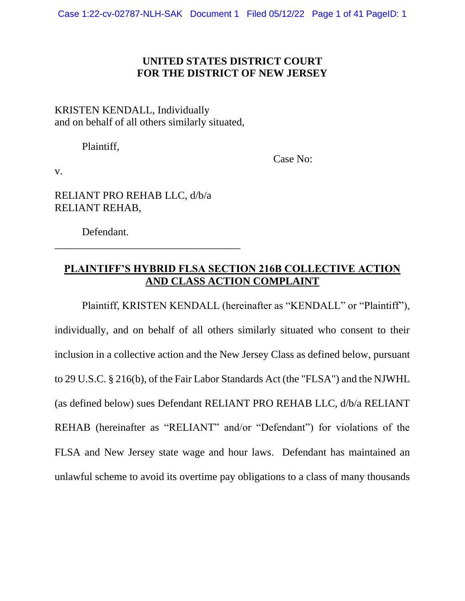## **UNITED STATES DISTRICT COURT FOR THE DISTRICT OF NEW JERSEY**

## KRISTEN KENDALL, Individually and on behalf of all others similarly situated,

Plaintiff,

Case No:

v.

RELIANT PRO REHAB LLC, d/b/a RELIANT REHAB,

\_\_\_\_\_\_\_\_\_\_\_\_\_\_\_\_\_\_\_\_\_\_\_\_\_\_\_\_\_\_\_\_\_\_\_

Defendant.

# **PLAINTIFF'S HYBRID FLSA SECTION 216B COLLECTIVE ACTION AND CLASS ACTION COMPLAINT**

Plaintiff, KRISTEN KENDALL (hereinafter as "KENDALL" or "Plaintiff"), individually, and on behalf of all others similarly situated who consent to their inclusion in a collective action and the New Jersey Class as defined below, pursuant to 29 U.S.C. § 216(b), of the Fair Labor Standards Act (the "FLSA") and the NJWHL (as defined below) sues Defendant RELIANT PRO REHAB LLC, d/b/a RELIANT REHAB (hereinafter as "RELIANT" and/or "Defendant") for violations of the FLSA and New Jersey state wage and hour laws. Defendant has maintained an unlawful scheme to avoid its overtime pay obligations to a class of many thousands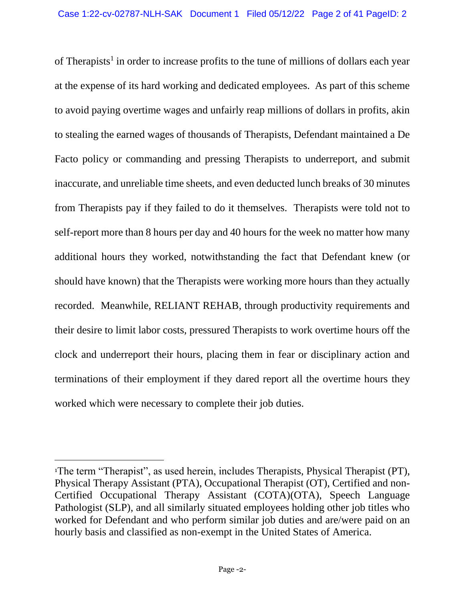of Therapists<sup>1</sup> in order to increase profits to the tune of millions of dollars each year at the expense of its hard working and dedicated employees. As part of this scheme to avoid paying overtime wages and unfairly reap millions of dollars in profits, akin to stealing the earned wages of thousands of Therapists, Defendant maintained a De Facto policy or commanding and pressing Therapists to underreport, and submit inaccurate, and unreliable time sheets, and even deducted lunch breaks of 30 minutes from Therapists pay if they failed to do it themselves. Therapists were told not to self-report more than 8 hours per day and 40 hours for the week no matter how many additional hours they worked, notwithstanding the fact that Defendant knew (or should have known) that the Therapists were working more hours than they actually recorded. Meanwhile, RELIANT REHAB, through productivity requirements and their desire to limit labor costs, pressured Therapists to work overtime hours off the clock and underreport their hours, placing them in fear or disciplinary action and terminations of their employment if they dared report all the overtime hours they worked which were necessary to complete their job duties.

<sup>1</sup>The term "Therapist", as used herein, includes Therapists, Physical Therapist (PT), Physical Therapy Assistant (PTA), Occupational Therapist (OT), Certified and non-Certified Occupational Therapy Assistant (COTA)(OTA), Speech Language Pathologist (SLP), and all similarly situated employees holding other job titles who worked for Defendant and who perform similar job duties and are/were paid on an hourly basis and classified as non-exempt in the United States of America.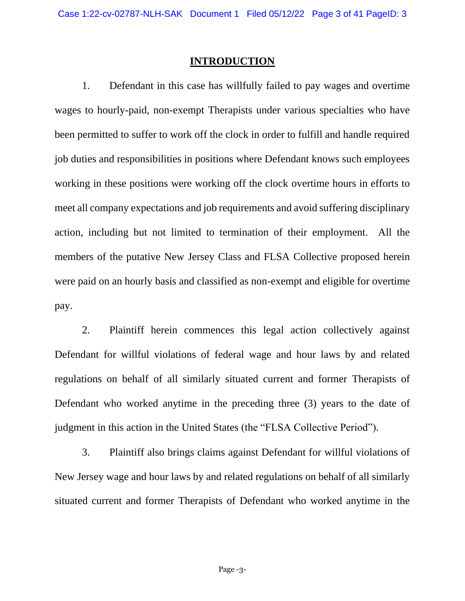#### **INTRODUCTION**

1. Defendant in this case has willfully failed to pay wages and overtime wages to hourly-paid, non-exempt Therapists under various specialties who have been permitted to suffer to work off the clock in order to fulfill and handle required job duties and responsibilities in positions where Defendant knows such employees working in these positions were working off the clock overtime hours in efforts to meet all company expectations and job requirements and avoid suffering disciplinary action, including but not limited to termination of their employment. All the members of the putative New Jersey Class and FLSA Collective proposed herein were paid on an hourly basis and classified as non-exempt and eligible for overtime pay.

2. Plaintiff herein commences this legal action collectively against Defendant for willful violations of federal wage and hour laws by and related regulations on behalf of all similarly situated current and former Therapists of Defendant who worked anytime in the preceding three (3) years to the date of judgment in this action in the United States (the "FLSA Collective Period").

3. Plaintiff also brings claims against Defendant for willful violations of New Jersey wage and hour laws by and related regulations on behalf of all similarly situated current and former Therapists of Defendant who worked anytime in the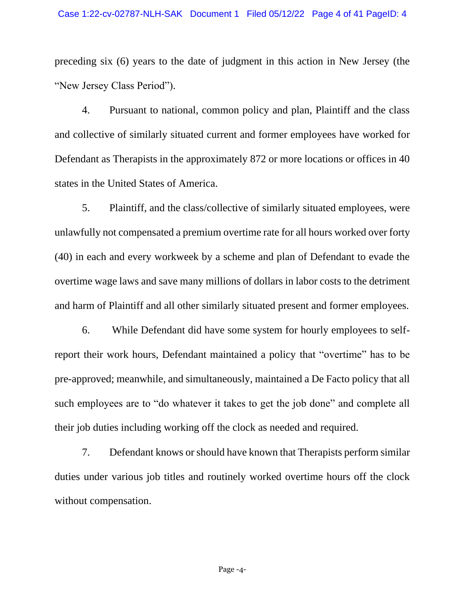preceding six (6) years to the date of judgment in this action in New Jersey (the "New Jersey Class Period").

4. Pursuant to national, common policy and plan, Plaintiff and the class and collective of similarly situated current and former employees have worked for Defendant as Therapists in the approximately 872 or more locations or offices in 40 states in the United States of America.

5. Plaintiff, and the class/collective of similarly situated employees, were unlawfully not compensated a premium overtime rate for all hours worked over forty (40) in each and every workweek by a scheme and plan of Defendant to evade the overtime wage laws and save many millions of dollars in labor costs to the detriment and harm of Plaintiff and all other similarly situated present and former employees.

6. While Defendant did have some system for hourly employees to selfreport their work hours, Defendant maintained a policy that "overtime" has to be pre-approved; meanwhile, and simultaneously, maintained a De Facto policy that all such employees are to "do whatever it takes to get the job done" and complete all their job duties including working off the clock as needed and required.

7. Defendant knows or should have known that Therapists perform similar duties under various job titles and routinely worked overtime hours off the clock without compensation.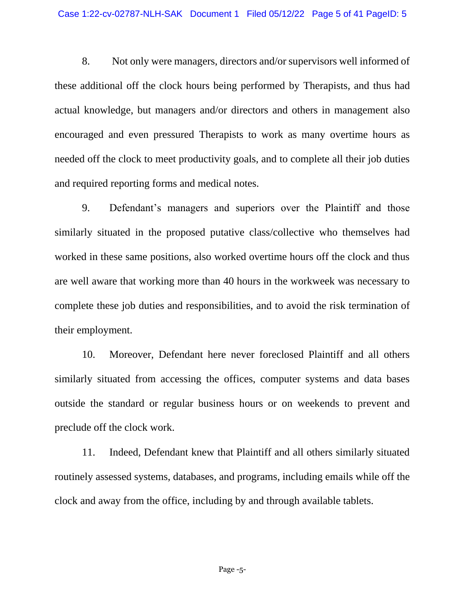8. Not only were managers, directors and/or supervisors well informed of these additional off the clock hours being performed by Therapists, and thus had actual knowledge, but managers and/or directors and others in management also encouraged and even pressured Therapists to work as many overtime hours as needed off the clock to meet productivity goals, and to complete all their job duties and required reporting forms and medical notes.

9. Defendant's managers and superiors over the Plaintiff and those similarly situated in the proposed putative class/collective who themselves had worked in these same positions, also worked overtime hours off the clock and thus are well aware that working more than 40 hours in the workweek was necessary to complete these job duties and responsibilities, and to avoid the risk termination of their employment.

10. Moreover, Defendant here never foreclosed Plaintiff and all others similarly situated from accessing the offices, computer systems and data bases outside the standard or regular business hours or on weekends to prevent and preclude off the clock work.

11. Indeed, Defendant knew that Plaintiff and all others similarly situated routinely assessed systems, databases, and programs, including emails while off the clock and away from the office, including by and through available tablets.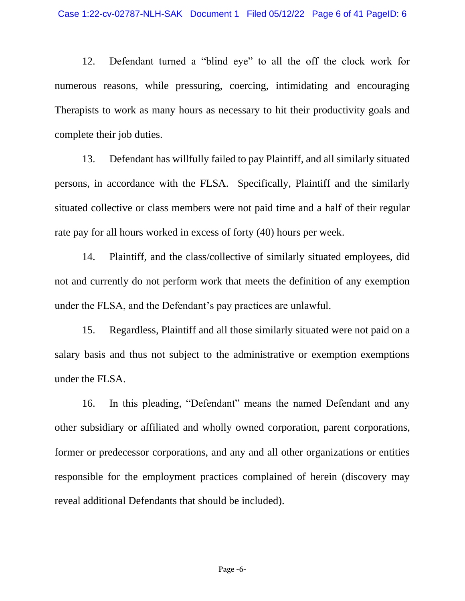12. Defendant turned a "blind eye" to all the off the clock work for numerous reasons, while pressuring, coercing, intimidating and encouraging Therapists to work as many hours as necessary to hit their productivity goals and complete their job duties.

13. Defendant has willfully failed to pay Plaintiff, and all similarly situated persons, in accordance with the FLSA. Specifically, Plaintiff and the similarly situated collective or class members were not paid time and a half of their regular rate pay for all hours worked in excess of forty (40) hours per week.

14. Plaintiff, and the class/collective of similarly situated employees, did not and currently do not perform work that meets the definition of any exemption under the FLSA, and the Defendant's pay practices are unlawful.

15. Regardless, Plaintiff and all those similarly situated were not paid on a salary basis and thus not subject to the administrative or exemption exemptions under the FLSA.

16. In this pleading, "Defendant" means the named Defendant and any other subsidiary or affiliated and wholly owned corporation, parent corporations, former or predecessor corporations, and any and all other organizations or entities responsible for the employment practices complained of herein (discovery may reveal additional Defendants that should be included).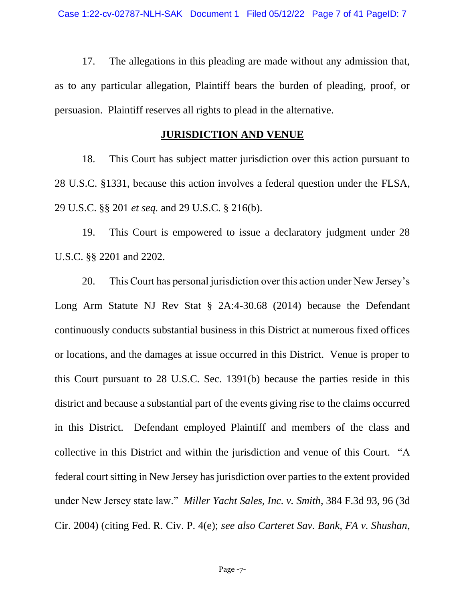17. The allegations in this pleading are made without any admission that, as to any particular allegation, Plaintiff bears the burden of pleading, proof, or persuasion. Plaintiff reserves all rights to plead in the alternative.

### **JURISDICTION AND VENUE**

18. This Court has subject matter jurisdiction over this action pursuant to 28 U.S.C. §1331, because this action involves a federal question under the FLSA, 29 U.S.C. §§ 201 *et seq.* and 29 U.S.C. § 216(b).

19. This Court is empowered to issue a declaratory judgment under 28 U.S.C. §§ 2201 and 2202.

20. This Court has personal jurisdiction over this action under New Jersey's Long Arm Statute NJ Rev Stat § 2A:4-30.68 (2014) because the Defendant continuously conducts substantial business in this District at numerous fixed offices or locations, and the damages at issue occurred in this District. Venue is proper to this Court pursuant to 28 U.S.C. Sec. 1391(b) because the parties reside in this district and because a substantial part of the events giving rise to the claims occurred in this District. Defendant employed Plaintiff and members of the class and collective in this District and within the jurisdiction and venue of this Court. "A federal court sitting in New Jersey has jurisdiction over parties to the extent provided under New Jersey state law." *Miller Yacht Sales, Inc. v. Smith*, 384 F.3d 93, 96 (3d Cir. 2004) (citing Fed. R. Civ. P. 4(e); *see also Carteret Sav. Bank, FA v. Shushan*,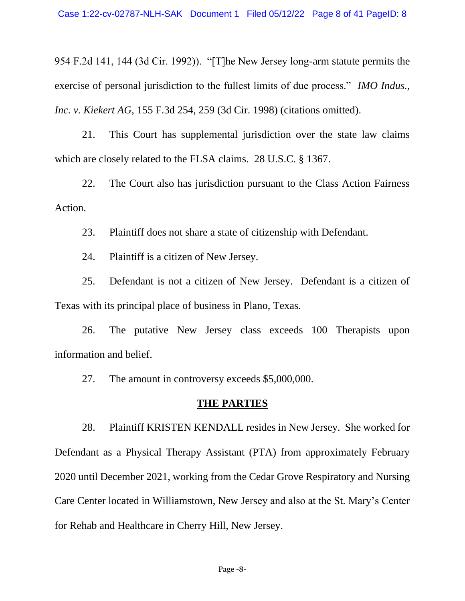954 F.2d 141, 144 (3d Cir. 1992)). "[T]he New Jersey long-arm statute permits the exercise of personal jurisdiction to the fullest limits of due process." *IMO Indus., Inc. v. Kiekert AG*, 155 F.3d 254, 259 (3d Cir. 1998) (citations omitted).

21. This Court has supplemental jurisdiction over the state law claims which are closely related to the FLSA claims. 28 U.S.C. § 1367.

22. The Court also has jurisdiction pursuant to the Class Action Fairness Action.

23. Plaintiff does not share a state of citizenship with Defendant.

24. Plaintiff is a citizen of New Jersey.

25. Defendant is not a citizen of New Jersey. Defendant is a citizen of Texas with its principal place of business in Plano, Texas.

26. The putative New Jersey class exceeds 100 Therapists upon information and belief.

27. The amount in controversy exceeds \$5,000,000.

#### **THE PARTIES**

28. Plaintiff KRISTEN KENDALL resides in New Jersey. She worked for Defendant as a Physical Therapy Assistant (PTA) from approximately February 2020 until December 2021, working from the Cedar Grove Respiratory and Nursing Care Center located in Williamstown, New Jersey and also at the St. Mary's Center for Rehab and Healthcare in Cherry Hill, New Jersey.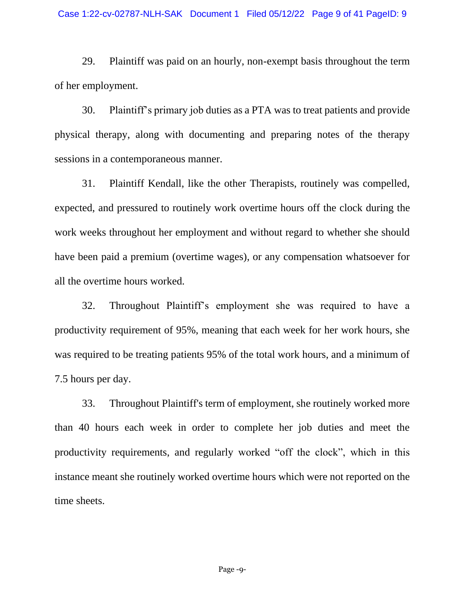29. Plaintiff was paid on an hourly, non-exempt basis throughout the term of her employment.

30. Plaintiff's primary job duties as a PTA was to treat patients and provide physical therapy, along with documenting and preparing notes of the therapy sessions in a contemporaneous manner.

31. Plaintiff Kendall, like the other Therapists, routinely was compelled, expected, and pressured to routinely work overtime hours off the clock during the work weeks throughout her employment and without regard to whether she should have been paid a premium (overtime wages), or any compensation whatsoever for all the overtime hours worked.

32. Throughout Plaintiff's employment she was required to have a productivity requirement of 95%, meaning that each week for her work hours, she was required to be treating patients 95% of the total work hours, and a minimum of 7.5 hours per day.

33. Throughout Plaintiff's term of employment, she routinely worked more than 40 hours each week in order to complete her job duties and meet the productivity requirements, and regularly worked "off the clock", which in this instance meant she routinely worked overtime hours which were not reported on the time sheets.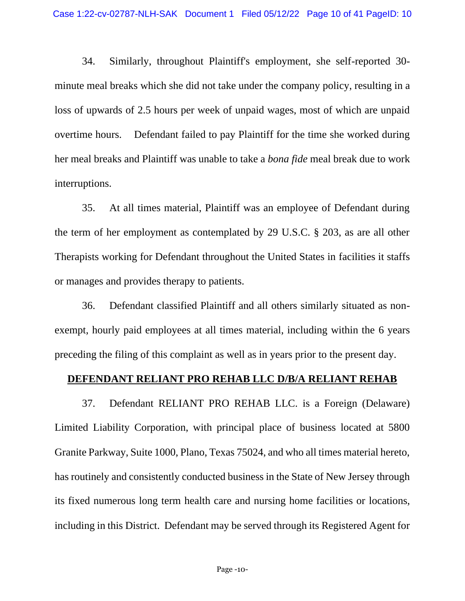34. Similarly, throughout Plaintiff's employment, she self-reported 30 minute meal breaks which she did not take under the company policy, resulting in a loss of upwards of 2.5 hours per week of unpaid wages, most of which are unpaid overtime hours. Defendant failed to pay Plaintiff for the time she worked during her meal breaks and Plaintiff was unable to take a *bona fide* meal break due to work interruptions.

35. At all times material, Plaintiff was an employee of Defendant during the term of her employment as contemplated by 29 U.S.C. § 203, as are all other Therapists working for Defendant throughout the United States in facilities it staffs or manages and provides therapy to patients.

36. Defendant classified Plaintiff and all others similarly situated as nonexempt, hourly paid employees at all times material, including within the 6 years preceding the filing of this complaint as well as in years prior to the present day.

## **DEFENDANT RELIANT PRO REHAB LLC D/B/A RELIANT REHAB**

37. Defendant RELIANT PRO REHAB LLC. is a Foreign (Delaware) Limited Liability Corporation, with principal place of business located at 5800 Granite Parkway, Suite 1000, Plano, Texas 75024, and who all times material hereto, has routinely and consistently conducted business in the State of New Jersey through its fixed numerous long term health care and nursing home facilities or locations, including in this District. Defendant may be served through its Registered Agent for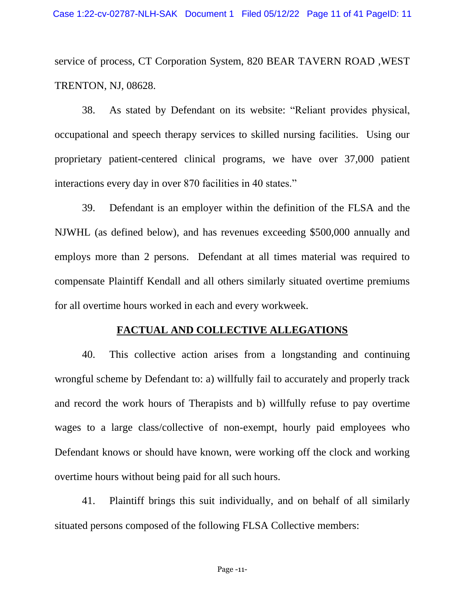service of process, CT Corporation System, 820 BEAR TAVERN ROAD ,WEST TRENTON, NJ, 08628.

38. As stated by Defendant on its website: "Reliant provides physical, occupational and speech therapy services to skilled nursing facilities. Using our proprietary patient-centered clinical programs, we have over 37,000 patient interactions every day in over 870 facilities in 40 states."

39. Defendant is an employer within the definition of the FLSA and the NJWHL (as defined below), and has revenues exceeding \$500,000 annually and employs more than 2 persons. Defendant at all times material was required to compensate Plaintiff Kendall and all others similarly situated overtime premiums for all overtime hours worked in each and every workweek.

#### **FACTUAL AND COLLECTIVE ALLEGATIONS**

40. This collective action arises from a longstanding and continuing wrongful scheme by Defendant to: a) willfully fail to accurately and properly track and record the work hours of Therapists and b) willfully refuse to pay overtime wages to a large class/collective of non-exempt, hourly paid employees who Defendant knows or should have known, were working off the clock and working overtime hours without being paid for all such hours.

41. Plaintiff brings this suit individually, and on behalf of all similarly situated persons composed of the following FLSA Collective members: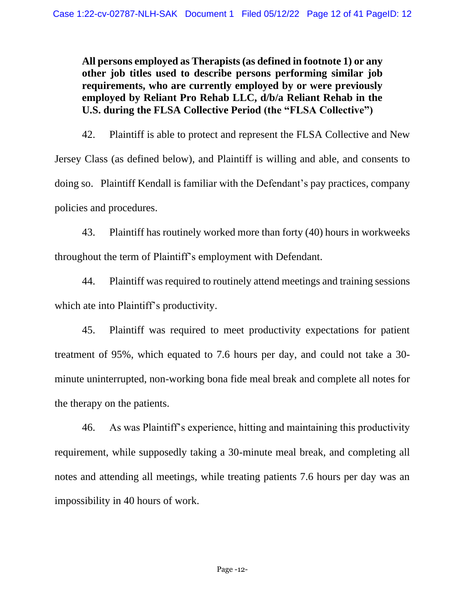**All persons employed as Therapists (as defined in footnote 1) or any other job titles used to describe persons performing similar job requirements, who are currently employed by or were previously employed by Reliant Pro Rehab LLC, d/b/a Reliant Rehab in the U.S. during the FLSA Collective Period (the "FLSA Collective")**

42. Plaintiff is able to protect and represent the FLSA Collective and New Jersey Class (as defined below), and Plaintiff is willing and able, and consents to doing so. Plaintiff Kendall is familiar with the Defendant's pay practices, company policies and procedures.

43. Plaintiff has routinely worked more than forty (40) hours in workweeks throughout the term of Plaintiff's employment with Defendant.

44. Plaintiff was required to routinely attend meetings and training sessions which ate into Plaintiff's productivity.

45. Plaintiff was required to meet productivity expectations for patient treatment of 95%, which equated to 7.6 hours per day, and could not take a 30 minute uninterrupted, non-working bona fide meal break and complete all notes for the therapy on the patients.

46. As was Plaintiff's experience, hitting and maintaining this productivity requirement, while supposedly taking a 30-minute meal break, and completing all notes and attending all meetings, while treating patients 7.6 hours per day was an impossibility in 40 hours of work.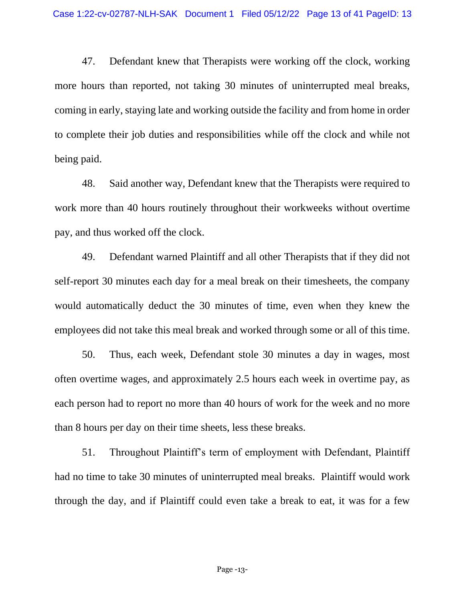47. Defendant knew that Therapists were working off the clock, working more hours than reported, not taking 30 minutes of uninterrupted meal breaks, coming in early, staying late and working outside the facility and from home in order to complete their job duties and responsibilities while off the clock and while not being paid.

48. Said another way, Defendant knew that the Therapists were required to work more than 40 hours routinely throughout their workweeks without overtime pay, and thus worked off the clock.

49. Defendant warned Plaintiff and all other Therapists that if they did not self-report 30 minutes each day for a meal break on their timesheets, the company would automatically deduct the 30 minutes of time, even when they knew the employees did not take this meal break and worked through some or all of this time.

50. Thus, each week, Defendant stole 30 minutes a day in wages, most often overtime wages, and approximately 2.5 hours each week in overtime pay, as each person had to report no more than 40 hours of work for the week and no more than 8 hours per day on their time sheets, less these breaks.

51. Throughout Plaintiff's term of employment with Defendant, Plaintiff had no time to take 30 minutes of uninterrupted meal breaks. Plaintiff would work through the day, and if Plaintiff could even take a break to eat, it was for a few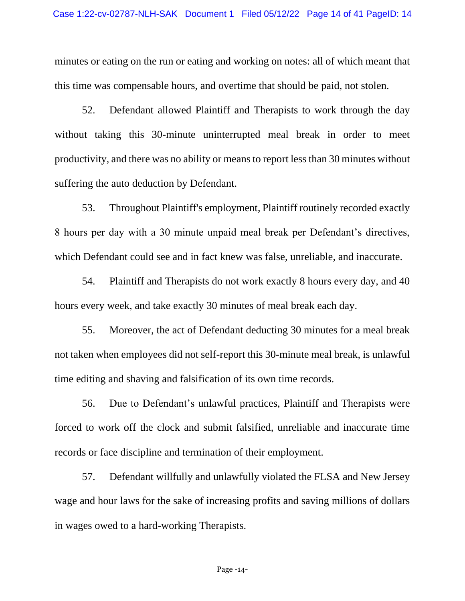minutes or eating on the run or eating and working on notes: all of which meant that this time was compensable hours, and overtime that should be paid, not stolen.

52. Defendant allowed Plaintiff and Therapists to work through the day without taking this 30-minute uninterrupted meal break in order to meet productivity, and there was no ability or means to report less than 30 minutes without suffering the auto deduction by Defendant.

53. Throughout Plaintiff's employment, Plaintiff routinely recorded exactly 8 hours per day with a 30 minute unpaid meal break per Defendant's directives, which Defendant could see and in fact knew was false, unreliable, and inaccurate.

54. Plaintiff and Therapists do not work exactly 8 hours every day, and 40 hours every week, and take exactly 30 minutes of meal break each day.

55. Moreover, the act of Defendant deducting 30 minutes for a meal break not taken when employees did not self-report this 30-minute meal break, is unlawful time editing and shaving and falsification of its own time records.

56. Due to Defendant's unlawful practices, Plaintiff and Therapists were forced to work off the clock and submit falsified, unreliable and inaccurate time records or face discipline and termination of their employment.

57. Defendant willfully and unlawfully violated the FLSA and New Jersey wage and hour laws for the sake of increasing profits and saving millions of dollars in wages owed to a hard-working Therapists.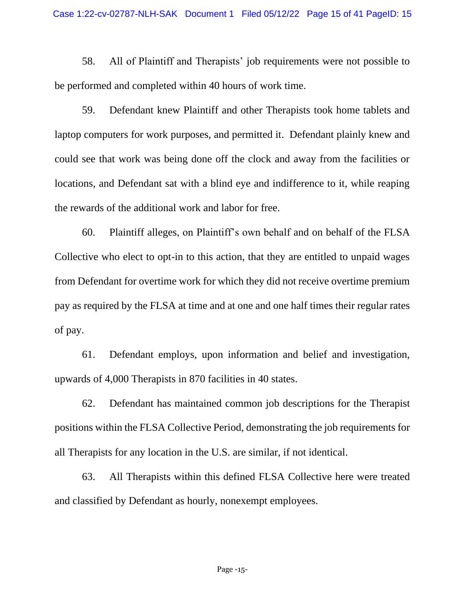58. All of Plaintiff and Therapists' job requirements were not possible to be performed and completed within 40 hours of work time.

59. Defendant knew Plaintiff and other Therapists took home tablets and laptop computers for work purposes, and permitted it. Defendant plainly knew and could see that work was being done off the clock and away from the facilities or locations, and Defendant sat with a blind eye and indifference to it, while reaping the rewards of the additional work and labor for free.

60. Plaintiff alleges, on Plaintiff's own behalf and on behalf of the FLSA Collective who elect to opt-in to this action, that they are entitled to unpaid wages from Defendant for overtime work for which they did not receive overtime premium pay as required by the FLSA at time and at one and one half times their regular rates of pay.

61. Defendant employs, upon information and belief and investigation, upwards of 4,000 Therapists in 870 facilities in 40 states.

62. Defendant has maintained common job descriptions for the Therapist positions within the FLSA Collective Period, demonstrating the job requirements for all Therapists for any location in the U.S. are similar, if not identical.

63. All Therapists within this defined FLSA Collective here were treated and classified by Defendant as hourly, nonexempt employees.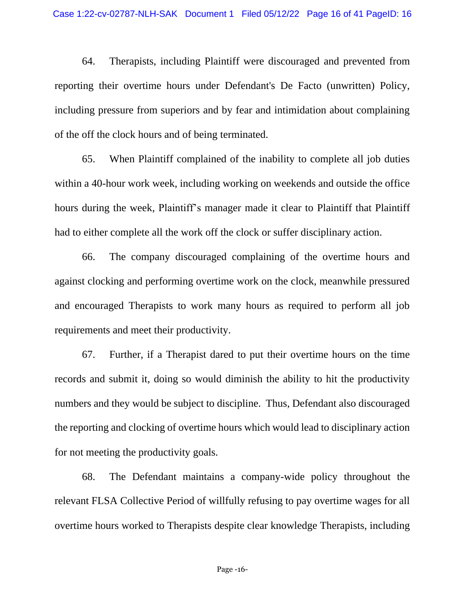64. Therapists, including Plaintiff were discouraged and prevented from reporting their overtime hours under Defendant's De Facto (unwritten) Policy, including pressure from superiors and by fear and intimidation about complaining of the off the clock hours and of being terminated.

65. When Plaintiff complained of the inability to complete all job duties within a 40-hour work week, including working on weekends and outside the office hours during the week, Plaintiff's manager made it clear to Plaintiff that Plaintiff had to either complete all the work off the clock or suffer disciplinary action.

66. The company discouraged complaining of the overtime hours and against clocking and performing overtime work on the clock, meanwhile pressured and encouraged Therapists to work many hours as required to perform all job requirements and meet their productivity.

67. Further, if a Therapist dared to put their overtime hours on the time records and submit it, doing so would diminish the ability to hit the productivity numbers and they would be subject to discipline. Thus, Defendant also discouraged the reporting and clocking of overtime hours which would lead to disciplinary action for not meeting the productivity goals.

68. The Defendant maintains a company-wide policy throughout the relevant FLSA Collective Period of willfully refusing to pay overtime wages for all overtime hours worked to Therapists despite clear knowledge Therapists, including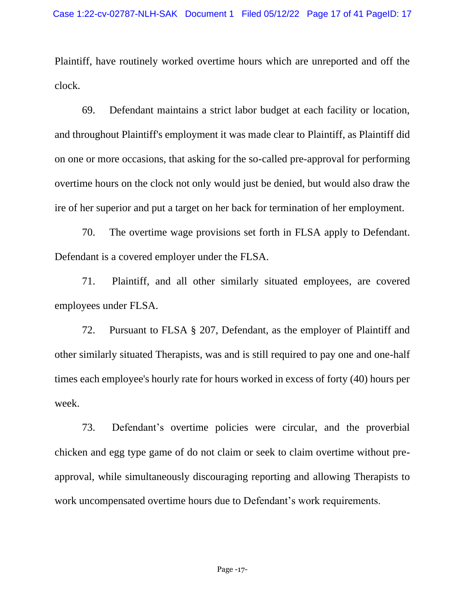Plaintiff, have routinely worked overtime hours which are unreported and off the clock.

69. Defendant maintains a strict labor budget at each facility or location, and throughout Plaintiff's employment it was made clear to Plaintiff, as Plaintiff did on one or more occasions, that asking for the so-called pre-approval for performing overtime hours on the clock not only would just be denied, but would also draw the ire of her superior and put a target on her back for termination of her employment.

70. The overtime wage provisions set forth in FLSA apply to Defendant. Defendant is a covered employer under the FLSA.

71. Plaintiff, and all other similarly situated employees, are covered employees under FLSA.

72. Pursuant to FLSA § 207, Defendant, as the employer of Plaintiff and other similarly situated Therapists, was and is still required to pay one and one-half times each employee's hourly rate for hours worked in excess of forty (40) hours per week.

73. Defendant's overtime policies were circular, and the proverbial chicken and egg type game of do not claim or seek to claim overtime without preapproval, while simultaneously discouraging reporting and allowing Therapists to work uncompensated overtime hours due to Defendant's work requirements.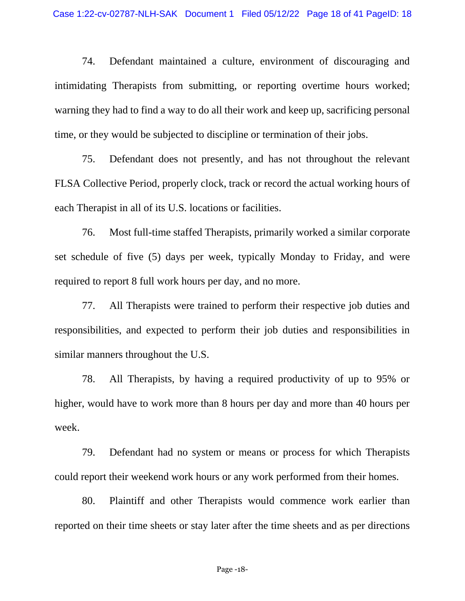74. Defendant maintained a culture, environment of discouraging and intimidating Therapists from submitting, or reporting overtime hours worked; warning they had to find a way to do all their work and keep up, sacrificing personal time, or they would be subjected to discipline or termination of their jobs.

75. Defendant does not presently, and has not throughout the relevant FLSA Collective Period, properly clock, track or record the actual working hours of each Therapist in all of its U.S. locations or facilities.

76. Most full-time staffed Therapists, primarily worked a similar corporate set schedule of five (5) days per week, typically Monday to Friday, and were required to report 8 full work hours per day, and no more.

77. All Therapists were trained to perform their respective job duties and responsibilities, and expected to perform their job duties and responsibilities in similar manners throughout the U.S.

78. All Therapists, by having a required productivity of up to 95% or higher, would have to work more than 8 hours per day and more than 40 hours per week.

79. Defendant had no system or means or process for which Therapists could report their weekend work hours or any work performed from their homes.

80. Plaintiff and other Therapists would commence work earlier than reported on their time sheets or stay later after the time sheets and as per directions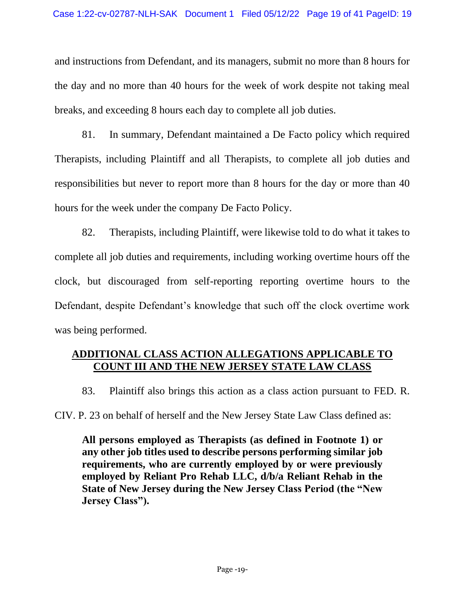and instructions from Defendant, and its managers, submit no more than 8 hours for the day and no more than 40 hours for the week of work despite not taking meal breaks, and exceeding 8 hours each day to complete all job duties.

81. In summary, Defendant maintained a De Facto policy which required Therapists, including Plaintiff and all Therapists, to complete all job duties and responsibilities but never to report more than 8 hours for the day or more than 40 hours for the week under the company De Facto Policy.

82. Therapists, including Plaintiff, were likewise told to do what it takes to complete all job duties and requirements, including working overtime hours off the clock, but discouraged from self-reporting reporting overtime hours to the Defendant, despite Defendant's knowledge that such off the clock overtime work was being performed.

# **ADDITIONAL CLASS ACTION ALLEGATIONS APPLICABLE TO COUNT III AND THE NEW JERSEY STATE LAW CLASS**

83. Plaintiff also brings this action as a class action pursuant to FED. R.

CIV. P. 23 on behalf of herself and the New Jersey State Law Class defined as:

**All persons employed as Therapists (as defined in Footnote 1) or any other job titles used to describe persons performing similar job requirements, who are currently employed by or were previously employed by Reliant Pro Rehab LLC, d/b/a Reliant Rehab in the State of New Jersey during the New Jersey Class Period (the "New Jersey Class").**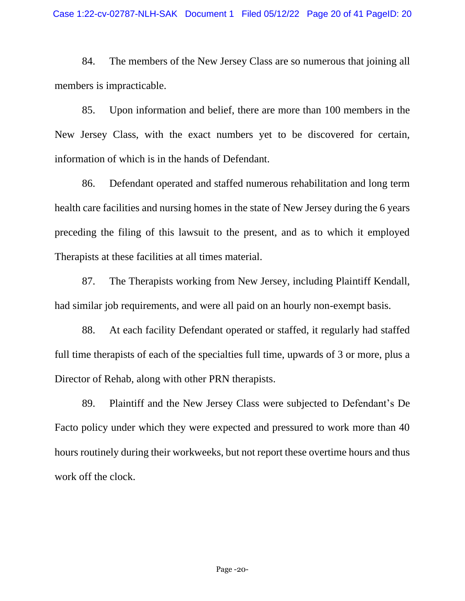84. The members of the New Jersey Class are so numerous that joining all members is impracticable.

85. Upon information and belief, there are more than 100 members in the New Jersey Class, with the exact numbers yet to be discovered for certain, information of which is in the hands of Defendant.

86. Defendant operated and staffed numerous rehabilitation and long term health care facilities and nursing homes in the state of New Jersey during the 6 years preceding the filing of this lawsuit to the present, and as to which it employed Therapists at these facilities at all times material.

87. The Therapists working from New Jersey, including Plaintiff Kendall, had similar job requirements, and were all paid on an hourly non-exempt basis.

88. At each facility Defendant operated or staffed, it regularly had staffed full time therapists of each of the specialties full time, upwards of 3 or more, plus a Director of Rehab, along with other PRN therapists.

89. Plaintiff and the New Jersey Class were subjected to Defendant's De Facto policy under which they were expected and pressured to work more than 40 hours routinely during their workweeks, but not report these overtime hours and thus work off the clock.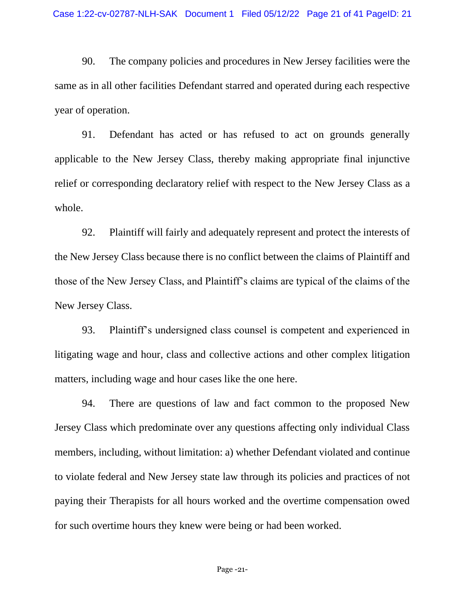90. The company policies and procedures in New Jersey facilities were the same as in all other facilities Defendant starred and operated during each respective year of operation.

91. Defendant has acted or has refused to act on grounds generally applicable to the New Jersey Class, thereby making appropriate final injunctive relief or corresponding declaratory relief with respect to the New Jersey Class as a whole.

92. Plaintiff will fairly and adequately represent and protect the interests of the New Jersey Class because there is no conflict between the claims of Plaintiff and those of the New Jersey Class, and Plaintiff's claims are typical of the claims of the New Jersey Class.

93. Plaintiff's undersigned class counsel is competent and experienced in litigating wage and hour, class and collective actions and other complex litigation matters, including wage and hour cases like the one here.

94. There are questions of law and fact common to the proposed New Jersey Class which predominate over any questions affecting only individual Class members, including, without limitation: a) whether Defendant violated and continue to violate federal and New Jersey state law through its policies and practices of not paying their Therapists for all hours worked and the overtime compensation owed for such overtime hours they knew were being or had been worked.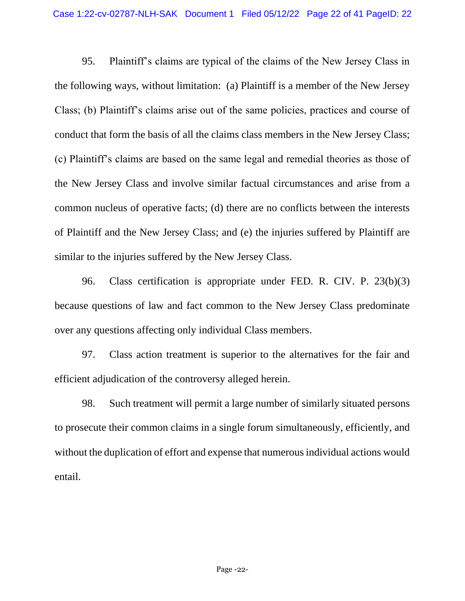95. Plaintiff's claims are typical of the claims of the New Jersey Class in the following ways, without limitation: (a) Plaintiff is a member of the New Jersey Class; (b) Plaintiff's claims arise out of the same policies, practices and course of conduct that form the basis of all the claims class members in the New Jersey Class; (c) Plaintiff's claims are based on the same legal and remedial theories as those of the New Jersey Class and involve similar factual circumstances and arise from a common nucleus of operative facts; (d) there are no conflicts between the interests of Plaintiff and the New Jersey Class; and (e) the injuries suffered by Plaintiff are similar to the injuries suffered by the New Jersey Class.

96. Class certification is appropriate under FED. R. CIV. P. 23(b)(3) because questions of law and fact common to the New Jersey Class predominate over any questions affecting only individual Class members.

97. Class action treatment is superior to the alternatives for the fair and efficient adjudication of the controversy alleged herein.

98. Such treatment will permit a large number of similarly situated persons to prosecute their common claims in a single forum simultaneously, efficiently, and without the duplication of effort and expense that numerous individual actions would entail.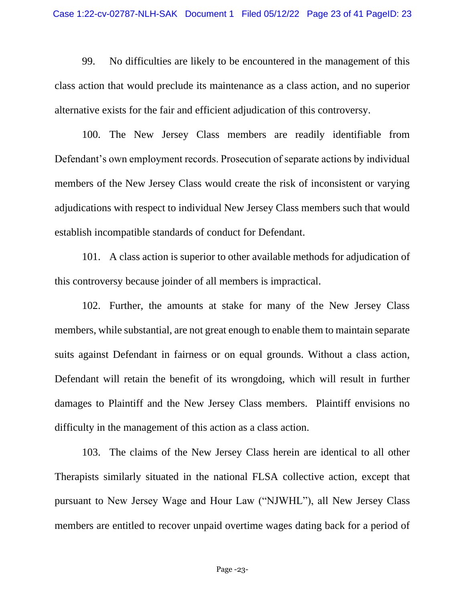99. No difficulties are likely to be encountered in the management of this class action that would preclude its maintenance as a class action, and no superior alternative exists for the fair and efficient adjudication of this controversy.

100. The New Jersey Class members are readily identifiable from Defendant's own employment records. Prosecution of separate actions by individual members of the New Jersey Class would create the risk of inconsistent or varying adjudications with respect to individual New Jersey Class members such that would establish incompatible standards of conduct for Defendant.

101. A class action is superior to other available methods for adjudication of this controversy because joinder of all members is impractical.

102. Further, the amounts at stake for many of the New Jersey Class members, while substantial, are not great enough to enable them to maintain separate suits against Defendant in fairness or on equal grounds. Without a class action, Defendant will retain the benefit of its wrongdoing, which will result in further damages to Plaintiff and the New Jersey Class members. Plaintiff envisions no difficulty in the management of this action as a class action.

103. The claims of the New Jersey Class herein are identical to all other Therapists similarly situated in the national FLSA collective action, except that pursuant to New Jersey Wage and Hour Law ("NJWHL"), all New Jersey Class members are entitled to recover unpaid overtime wages dating back for a period of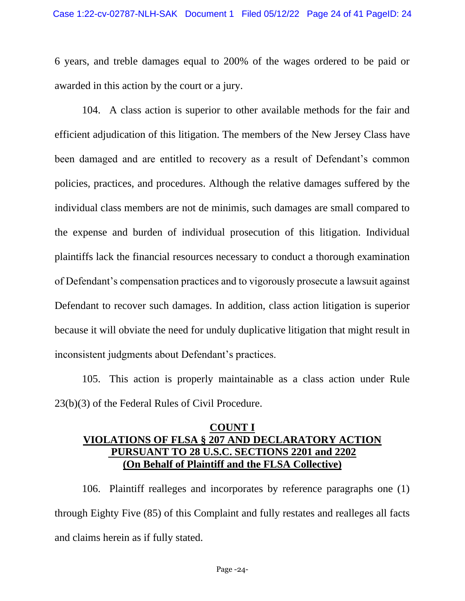6 years, and treble damages equal to 200% of the wages ordered to be paid or awarded in this action by the court or a jury.

104. A class action is superior to other available methods for the fair and efficient adjudication of this litigation. The members of the New Jersey Class have been damaged and are entitled to recovery as a result of Defendant's common policies, practices, and procedures. Although the relative damages suffered by the individual class members are not de minimis, such damages are small compared to the expense and burden of individual prosecution of this litigation. Individual plaintiffs lack the financial resources necessary to conduct a thorough examination of Defendant's compensation practices and to vigorously prosecute a lawsuit against Defendant to recover such damages. In addition, class action litigation is superior because it will obviate the need for unduly duplicative litigation that might result in inconsistent judgments about Defendant's practices.

105. This action is properly maintainable as a class action under Rule 23(b)(3) of the Federal Rules of Civil Procedure.

# **COUNT I VIOLATIONS OF FLSA § 207 AND DECLARATORY ACTION PURSUANT TO 28 U.S.C. SECTIONS 2201 and 2202 (On Behalf of Plaintiff and the FLSA Collective)**

106. Plaintiff realleges and incorporates by reference paragraphs one (1) through Eighty Five (85) of this Complaint and fully restates and realleges all facts and claims herein as if fully stated.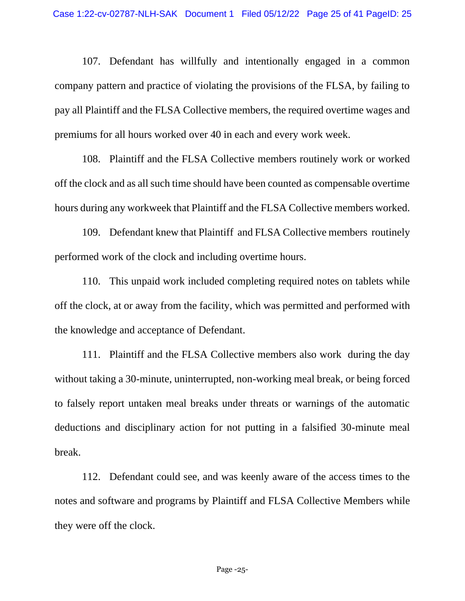107. Defendant has willfully and intentionally engaged in a common company pattern and practice of violating the provisions of the FLSA, by failing to pay all Plaintiff and the FLSA Collective members, the required overtime wages and premiums for all hours worked over 40 in each and every work week.

108. Plaintiff and the FLSA Collective members routinely work or worked off the clock and as all such time should have been counted as compensable overtime hours during any workweek that Plaintiff and the FLSA Collective members worked.

109. Defendant knew that Plaintiff and FLSA Collective members routinely performed work of the clock and including overtime hours.

110. This unpaid work included completing required notes on tablets while off the clock, at or away from the facility, which was permitted and performed with the knowledge and acceptance of Defendant.

111. Plaintiff and the FLSA Collective members also work during the day without taking a 30-minute, uninterrupted, non-working meal break, or being forced to falsely report untaken meal breaks under threats or warnings of the automatic deductions and disciplinary action for not putting in a falsified 30-minute meal break.

112. Defendant could see, and was keenly aware of the access times to the notes and software and programs by Plaintiff and FLSA Collective Members while they were off the clock.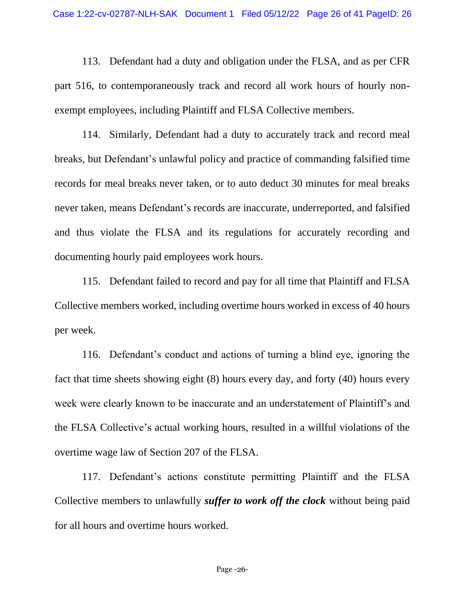113. Defendant had a duty and obligation under the FLSA, and as per CFR part 516, to contemporaneously track and record all work hours of hourly nonexempt employees, including Plaintiff and FLSA Collective members.

114. Similarly, Defendant had a duty to accurately track and record meal breaks, but Defendant's unlawful policy and practice of commanding falsified time records for meal breaks never taken, or to auto deduct 30 minutes for meal breaks never taken, means Defendant's records are inaccurate, underreported, and falsified and thus violate the FLSA and its regulations for accurately recording and documenting hourly paid employees work hours.

115. Defendant failed to record and pay for all time that Plaintiff and FLSA Collective members worked, including overtime hours worked in excess of 40 hours per week.

116. Defendant's conduct and actions of turning a blind eye, ignoring the fact that time sheets showing eight (8) hours every day, and forty (40) hours every week were clearly known to be inaccurate and an understatement of Plaintiff's and the FLSA Collective's actual working hours, resulted in a willful violations of the overtime wage law of Section 207 of the FLSA.

117. Defendant's actions constitute permitting Plaintiff and the FLSA Collective members to unlawfully *suffer to work off the clock* without being paid for all hours and overtime hours worked.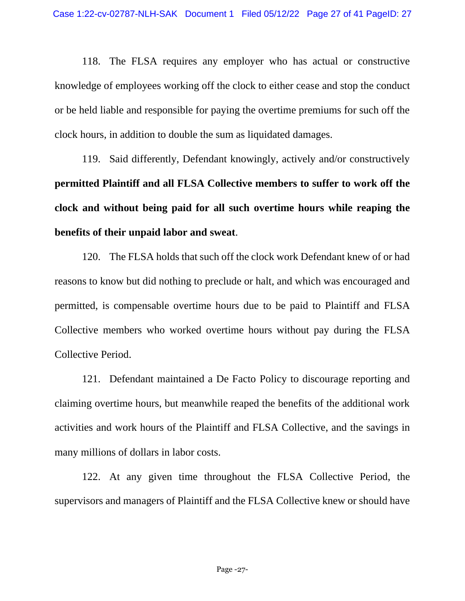118. The FLSA requires any employer who has actual or constructive knowledge of employees working off the clock to either cease and stop the conduct or be held liable and responsible for paying the overtime premiums for such off the clock hours, in addition to double the sum as liquidated damages.

119. Said differently, Defendant knowingly, actively and/or constructively **permitted Plaintiff and all FLSA Collective members to suffer to work off the clock and without being paid for all such overtime hours while reaping the benefits of their unpaid labor and sweat**.

120. The FLSA holds that such off the clock work Defendant knew of or had reasons to know but did nothing to preclude or halt, and which was encouraged and permitted, is compensable overtime hours due to be paid to Plaintiff and FLSA Collective members who worked overtime hours without pay during the FLSA Collective Period.

121. Defendant maintained a De Facto Policy to discourage reporting and claiming overtime hours, but meanwhile reaped the benefits of the additional work activities and work hours of the Plaintiff and FLSA Collective, and the savings in many millions of dollars in labor costs.

122. At any given time throughout the FLSA Collective Period, the supervisors and managers of Plaintiff and the FLSA Collective knew or should have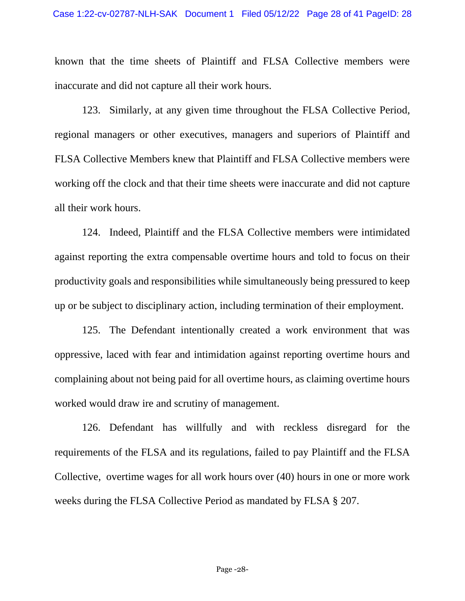known that the time sheets of Plaintiff and FLSA Collective members were inaccurate and did not capture all their work hours.

123. Similarly, at any given time throughout the FLSA Collective Period, regional managers or other executives, managers and superiors of Plaintiff and FLSA Collective Members knew that Plaintiff and FLSA Collective members were working off the clock and that their time sheets were inaccurate and did not capture all their work hours.

124. Indeed, Plaintiff and the FLSA Collective members were intimidated against reporting the extra compensable overtime hours and told to focus on their productivity goals and responsibilities while simultaneously being pressured to keep up or be subject to disciplinary action, including termination of their employment.

125. The Defendant intentionally created a work environment that was oppressive, laced with fear and intimidation against reporting overtime hours and complaining about not being paid for all overtime hours, as claiming overtime hours worked would draw ire and scrutiny of management.

126. Defendant has willfully and with reckless disregard for the requirements of the FLSA and its regulations, failed to pay Plaintiff and the FLSA Collective, overtime wages for all work hours over (40) hours in one or more work weeks during the FLSA Collective Period as mandated by FLSA § 207.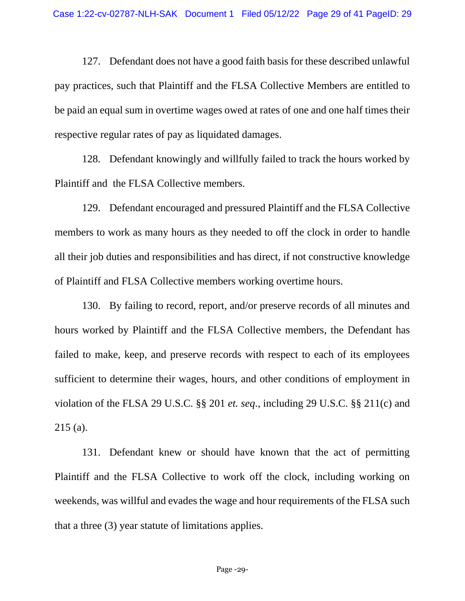127. Defendant does not have a good faith basis for these described unlawful pay practices, such that Plaintiff and the FLSA Collective Members are entitled to be paid an equal sum in overtime wages owed at rates of one and one half times their respective regular rates of pay as liquidated damages.

128. Defendant knowingly and willfully failed to track the hours worked by Plaintiff and the FLSA Collective members.

129. Defendant encouraged and pressured Plaintiff and the FLSA Collective members to work as many hours as they needed to off the clock in order to handle all their job duties and responsibilities and has direct, if not constructive knowledge of Plaintiff and FLSA Collective members working overtime hours.

130. By failing to record, report, and/or preserve records of all minutes and hours worked by Plaintiff and the FLSA Collective members, the Defendant has failed to make, keep, and preserve records with respect to each of its employees sufficient to determine their wages, hours, and other conditions of employment in violation of the FLSA 29 U.S.C. §§ 201 *et. seq*., including 29 U.S.C. §§ 211(c) and 215 (a).

131. Defendant knew or should have known that the act of permitting Plaintiff and the FLSA Collective to work off the clock, including working on weekends, was willful and evades the wage and hour requirements of the FLSA such that a three (3) year statute of limitations applies.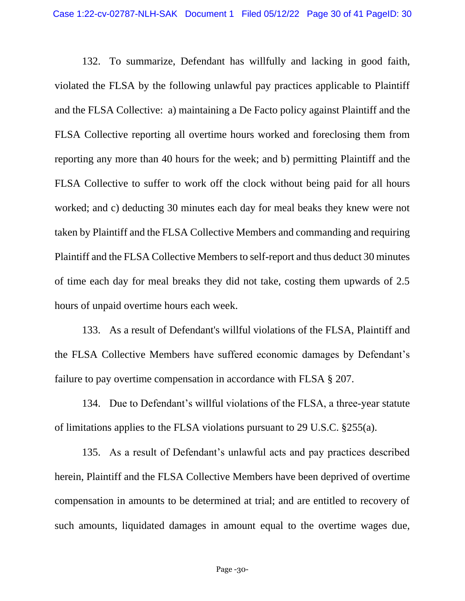132. To summarize, Defendant has willfully and lacking in good faith, violated the FLSA by the following unlawful pay practices applicable to Plaintiff and the FLSA Collective: a) maintaining a De Facto policy against Plaintiff and the FLSA Collective reporting all overtime hours worked and foreclosing them from reporting any more than 40 hours for the week; and b) permitting Plaintiff and the FLSA Collective to suffer to work off the clock without being paid for all hours worked; and c) deducting 30 minutes each day for meal beaks they knew were not taken by Plaintiff and the FLSA Collective Members and commanding and requiring Plaintiff and the FLSA Collective Members to self-report and thus deduct 30 minutes of time each day for meal breaks they did not take, costing them upwards of 2.5 hours of unpaid overtime hours each week.

133. As a result of Defendant's willful violations of the FLSA, Plaintiff and the FLSA Collective Members have suffered economic damages by Defendant's failure to pay overtime compensation in accordance with FLSA § 207.

134. Due to Defendant's willful violations of the FLSA, a three-year statute of limitations applies to the FLSA violations pursuant to 29 U.S.C. §255(a).

135. As a result of Defendant's unlawful acts and pay practices described herein, Plaintiff and the FLSA Collective Members have been deprived of overtime compensation in amounts to be determined at trial; and are entitled to recovery of such amounts, liquidated damages in amount equal to the overtime wages due,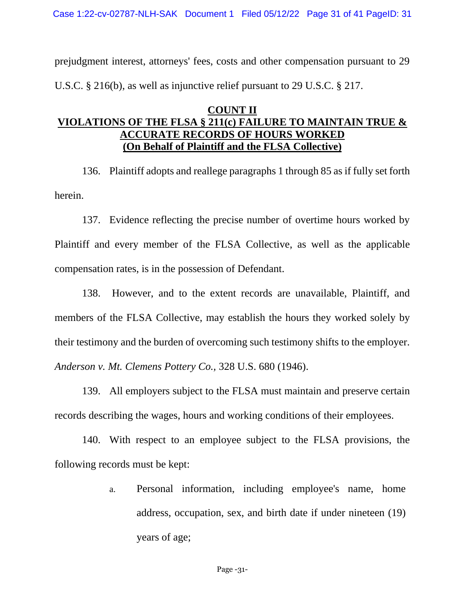Case 1:22-cv-02787-NLH-SAK Document 1 Filed 05/12/22 Page 31 of 41 PageID: 31

prejudgment interest, attorneys' fees, costs and other compensation pursuant to 29 U.S.C. § 216(b), as well as injunctive relief pursuant to 29 U.S.C. § 217.

## **COUNT II VIOLATIONS OF THE FLSA § 211(c) FAILURE TO MAINTAIN TRUE & CCURATE RECORDS OF HOURS WORKED (On Behalf of Plaintiff and the FLSA Collective)**

136. Plaintiff adopts and reallege paragraphs 1 through 85 as if fully set forth herein.

137. Evidence reflecting the precise number of overtime hours worked by Plaintiff and every member of the FLSA Collective, as well as the applicable compensation rates, is in the possession of Defendant.

138. However, and to the extent records are unavailable, Plaintiff, and members of the FLSA Collective, may establish the hours they worked solely by their testimony and the burden of overcoming such testimony shifts to the employer. *Anderson v. Mt. Clemens Pottery Co.,* 328 U.S. 680 (1946).

139. All employers subject to the FLSA must maintain and preserve certain records describing the wages, hours and working conditions of their employees.

140. With respect to an employee subject to the FLSA provisions, the following records must be kept:

> a. Personal information, including employee's name, home address, occupation, sex, and birth date if under nineteen (19) years of age;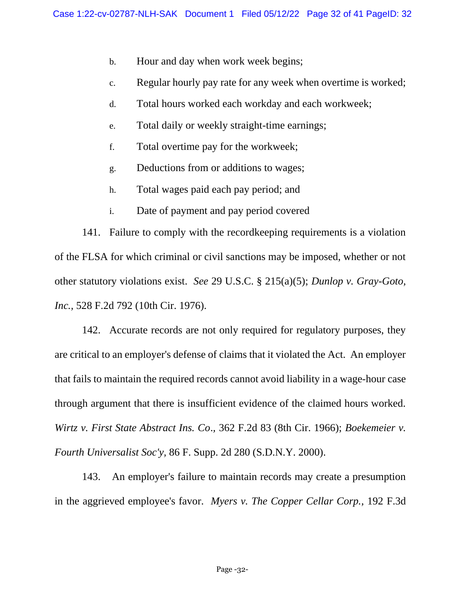- b. Hour and day when work week begins;
- c. Regular hourly pay rate for any week when overtime is worked;
- d. Total hours worked each workday and each workweek;
- e. Total daily or weekly straight-time earnings;
- f. Total overtime pay for the workweek;
- g. Deductions from or additions to wages;
- h. Total wages paid each pay period; and
- i. Date of payment and pay period covered

141. Failure to comply with the recordkeeping requirements is a violation of the FLSA for which criminal or civil sanctions may be imposed, whether or not other statutory violations exist. *See* 29 U.S.C. § 215(a)(5); *Dunlop v. Gray-Goto, Inc.,* 528 F.2d 792 (10th Cir. 1976).

142. Accurate records are not only required for regulatory purposes, they are critical to an employer's defense of claims that it violated the Act. An employer that fails to maintain the required records cannot avoid liability in a wage-hour case through argument that there is insufficient evidence of the claimed hours worked. *Wirtz v. First State Abstract Ins. Co*.*,* 362 F.2d 83 (8th Cir. 1966); *Boekemeier v. Fourth Universalist Soc'y,* 86 F. Supp. 2d 280 (S.D.N.Y. 2000).

143. An employer's failure to maintain records may create a presumption in the aggrieved employee's favor. *Myers v. The Copper Cellar Corp.,* 192 F.3d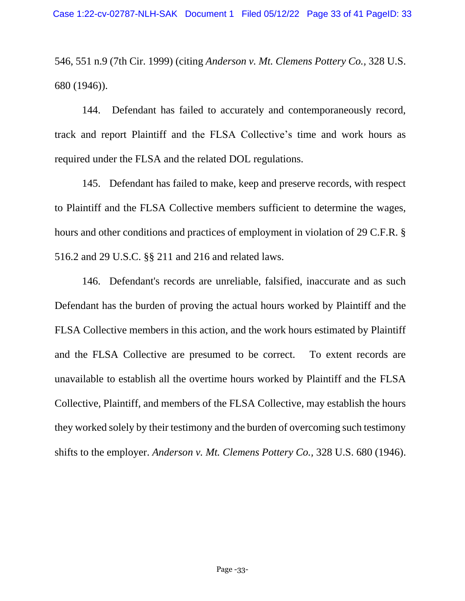546, 551 n.9 (7th Cir. 1999) (citing *Anderson v. Mt. Clemens Pottery Co.,* 328 U.S. 680 (1946)).

144. Defendant has failed to accurately and contemporaneously record, track and report Plaintiff and the FLSA Collective's time and work hours as required under the FLSA and the related DOL regulations.

145. Defendant has failed to make, keep and preserve records, with respect to Plaintiff and the FLSA Collective members sufficient to determine the wages, hours and other conditions and practices of employment in violation of 29 C.F.R. § 516.2 and 29 U.S.C. §§ 211 and 216 and related laws.

146. Defendant's records are unreliable, falsified, inaccurate and as such Defendant has the burden of proving the actual hours worked by Plaintiff and the FLSA Collective members in this action, and the work hours estimated by Plaintiff and the FLSA Collective are presumed to be correct. To extent records are unavailable to establish all the overtime hours worked by Plaintiff and the FLSA Collective, Plaintiff, and members of the FLSA Collective, may establish the hours they worked solely by their testimony and the burden of overcoming such testimony shifts to the employer. *Anderson v. Mt. Clemens Pottery Co.,* 328 U.S. 680 (1946).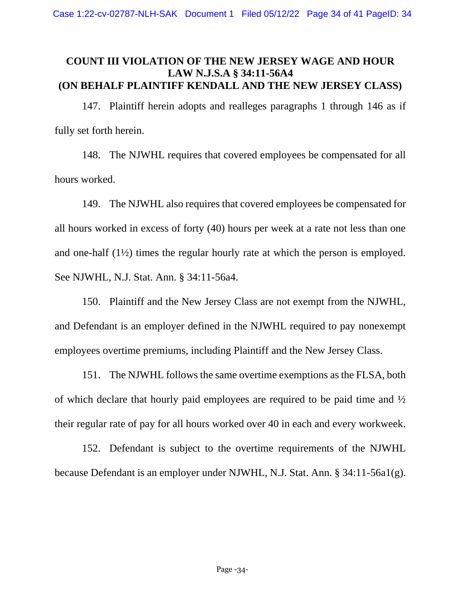## **COUNT III VIOLATION OF THE NEW JERSEY WAGE AND HOUR LAW N.J.S.A § 34:11-56A4 (ON BEHALF PLAINTIFF KENDALL AND THE NEW JERSEY CLASS)**

147. Plaintiff herein adopts and realleges paragraphs 1 through 146 as if fully set forth herein.

148. The NJWHL requires that covered employees be compensated for all hours worked.

149. The NJWHL also requires that covered employees be compensated for all hours worked in excess of forty (40) hours per week at a rate not less than one and one-half (1½) times the regular hourly rate at which the person is employed. See NJWHL, N.J. Stat. Ann. § 34:11-56a4.

150. Plaintiff and the New Jersey Class are not exempt from the NJWHL, and Defendant is an employer defined in the NJWHL required to pay nonexempt employees overtime premiums, including Plaintiff and the New Jersey Class.

151. The NJWHL follows the same overtime exemptions as the FLSA, both of which declare that hourly paid employees are required to be paid time and ½ their regular rate of pay for all hours worked over 40 in each and every workweek.

152. Defendant is subject to the overtime requirements of the NJWHL because Defendant is an employer under NJWHL, N.J. Stat. Ann. § 34:11-56a1(g).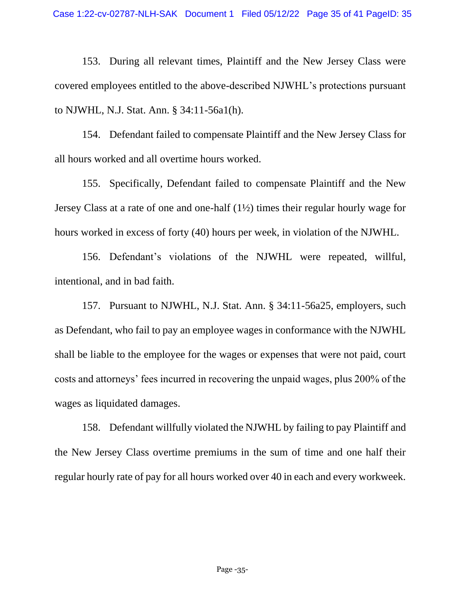153. During all relevant times, Plaintiff and the New Jersey Class were covered employees entitled to the above-described NJWHL's protections pursuant to NJWHL, N.J. Stat. Ann. § 34:11-56a1(h).

154. Defendant failed to compensate Plaintiff and the New Jersey Class for all hours worked and all overtime hours worked.

155. Specifically, Defendant failed to compensate Plaintiff and the New Jersey Class at a rate of one and one-half (1½) times their regular hourly wage for hours worked in excess of forty (40) hours per week, in violation of the NJWHL.

156. Defendant's violations of the NJWHL were repeated, willful, intentional, and in bad faith.

157. Pursuant to NJWHL, N.J. Stat. Ann. § 34:11-56a25, employers, such as Defendant, who fail to pay an employee wages in conformance with the NJWHL shall be liable to the employee for the wages or expenses that were not paid, court costs and attorneys' fees incurred in recovering the unpaid wages, plus 200% of the wages as liquidated damages.

158. Defendant willfully violated the NJWHL by failing to pay Plaintiff and the New Jersey Class overtime premiums in the sum of time and one half their regular hourly rate of pay for all hours worked over 40 in each and every workweek.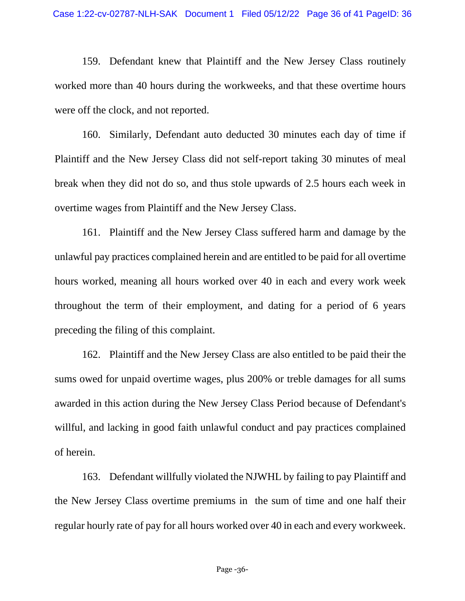159. Defendant knew that Plaintiff and the New Jersey Class routinely worked more than 40 hours during the workweeks, and that these overtime hours were off the clock, and not reported.

160. Similarly, Defendant auto deducted 30 minutes each day of time if Plaintiff and the New Jersey Class did not self-report taking 30 minutes of meal break when they did not do so, and thus stole upwards of 2.5 hours each week in overtime wages from Plaintiff and the New Jersey Class.

161. Plaintiff and the New Jersey Class suffered harm and damage by the unlawful pay practices complained herein and are entitled to be paid for all overtime hours worked, meaning all hours worked over 40 in each and every work week throughout the term of their employment, and dating for a period of 6 years preceding the filing of this complaint.

162. Plaintiff and the New Jersey Class are also entitled to be paid their the sums owed for unpaid overtime wages, plus 200% or treble damages for all sums awarded in this action during the New Jersey Class Period because of Defendant's willful, and lacking in good faith unlawful conduct and pay practices complained of herein.

163. Defendant willfully violated the NJWHL by failing to pay Plaintiff and the New Jersey Class overtime premiums in the sum of time and one half their regular hourly rate of pay for all hours worked over 40 in each and every workweek.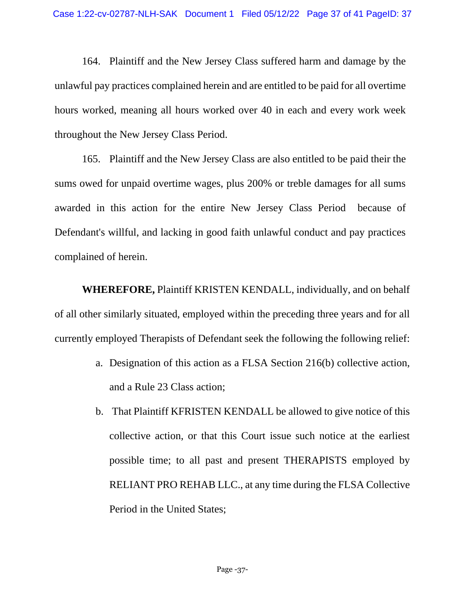164. Plaintiff and the New Jersey Class suffered harm and damage by the unlawful pay practices complained herein and are entitled to be paid for all overtime hours worked, meaning all hours worked over 40 in each and every work week throughout the New Jersey Class Period.

165. Plaintiff and the New Jersey Class are also entitled to be paid their the sums owed for unpaid overtime wages, plus 200% or treble damages for all sums awarded in this action for the entire New Jersey Class Period because of Defendant's willful, and lacking in good faith unlawful conduct and pay practices complained of herein.

**WHEREFORE,** Plaintiff KRISTEN KENDALL, individually, and on behalf of all other similarly situated, employed within the preceding three years and for all currently employed Therapists of Defendant seek the following the following relief:

- a. Designation of this action as a FLSA Section 216(b) collective action, and a Rule 23 Class action;
- b. That Plaintiff KFRISTEN KENDALL be allowed to give notice of this collective action, or that this Court issue such notice at the earliest possible time; to all past and present THERAPISTS employed by RELIANT PRO REHAB LLC., at any time during the FLSA Collective Period in the United States;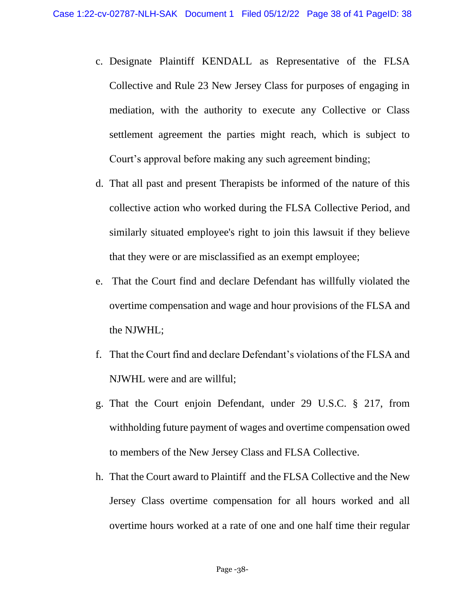- c. Designate Plaintiff KENDALL as Representative of the FLSA Collective and Rule 23 New Jersey Class for purposes of engaging in mediation, with the authority to execute any Collective or Class settlement agreement the parties might reach, which is subject to Court's approval before making any such agreement binding;
- d. That all past and present Therapists be informed of the nature of this collective action who worked during the FLSA Collective Period, and similarly situated employee's right to join this lawsuit if they believe that they were or are misclassified as an exempt employee;
- e. That the Court find and declare Defendant has willfully violated the overtime compensation and wage and hour provisions of the FLSA and the NJWHL;
- f. That the Court find and declare Defendant's violations of the FLSA and NJWHL were and are willful;
- g. That the Court enjoin Defendant, under 29 U.S.C. § 217, from withholding future payment of wages and overtime compensation owed to members of the New Jersey Class and FLSA Collective.
- h. That the Court award to Plaintiff and the FLSA Collective and the New Jersey Class overtime compensation for all hours worked and all overtime hours worked at a rate of one and one half time their regular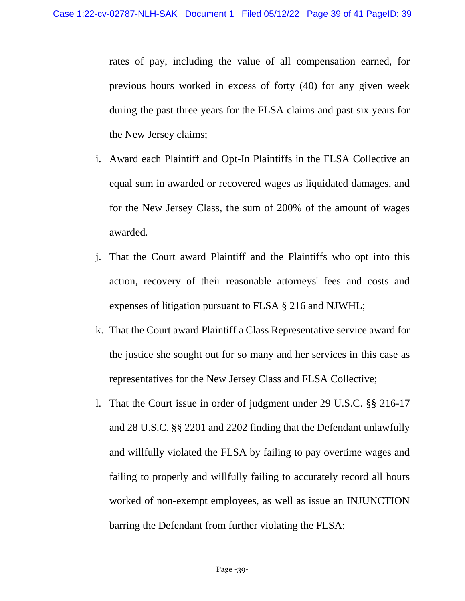rates of pay, including the value of all compensation earned, for previous hours worked in excess of forty (40) for any given week during the past three years for the FLSA claims and past six years for the New Jersey claims;

- i. Award each Plaintiff and Opt-In Plaintiffs in the FLSA Collective an equal sum in awarded or recovered wages as liquidated damages, and for the New Jersey Class, the sum of 200% of the amount of wages awarded.
- j. That the Court award Plaintiff and the Plaintiffs who opt into this action, recovery of their reasonable attorneys' fees and costs and expenses of litigation pursuant to FLSA § 216 and NJWHL;
- k. That the Court award Plaintiff a Class Representative service award for the justice she sought out for so many and her services in this case as representatives for the New Jersey Class and FLSA Collective;
- l. That the Court issue in order of judgment under 29 U.S.C. §§ 216-17 and 28 U.S.C. §§ 2201 and 2202 finding that the Defendant unlawfully and willfully violated the FLSA by failing to pay overtime wages and failing to properly and willfully failing to accurately record all hours worked of non-exempt employees, as well as issue an INJUNCTION barring the Defendant from further violating the FLSA;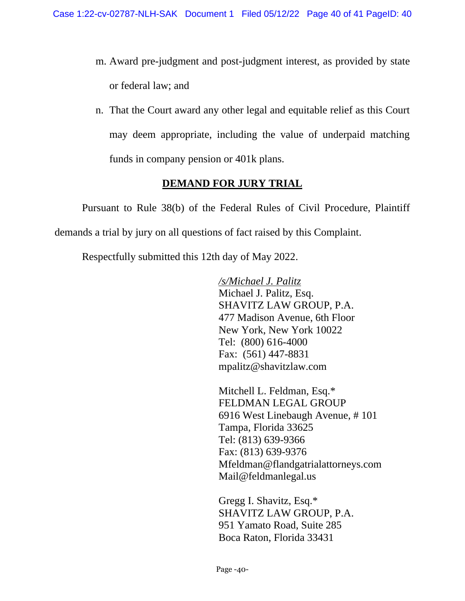- m. Award pre-judgment and post-judgment interest, as provided by state or federal law; and
- n. That the Court award any other legal and equitable relief as this Court may deem appropriate, including the value of underpaid matching funds in company pension or 401k plans.

# **DEMAND FOR JURY TRIAL**

Pursuant to Rule 38(b) of the Federal Rules of Civil Procedure, Plaintiff demands a trial by jury on all questions of fact raised by this Complaint.

Respectfully submitted this 12th day of May 2022.

*/s/Michael J. Palitz* Michael J. Palitz, Esq. SHAVITZ LAW GROUP, P.A. 477 Madison Avenue, 6th Floor New York, New York 10022 Tel: (800) 616-4000 Fax: (561) 447-8831 mpalitz@shavitzlaw.com

Mitchell L. Feldman, Esq.\* FELDMAN LEGAL GROUP 6916 West Linebaugh Avenue, # 101 Tampa, Florida 33625 Tel: (813) 639-9366 Fax: (813) 639-9376 [Mfeldman@flandgatrialattorneys.com](mailto:Mfeldman@flandgatrialattorneys.com) [Mail@feldmanlegal.us](mailto:Mail@feldmanlegal.us)

Gregg I. Shavitz, Esq.\* SHAVITZ LAW GROUP, P.A. 951 Yamato Road, Suite 285 Boca Raton, Florida 33431